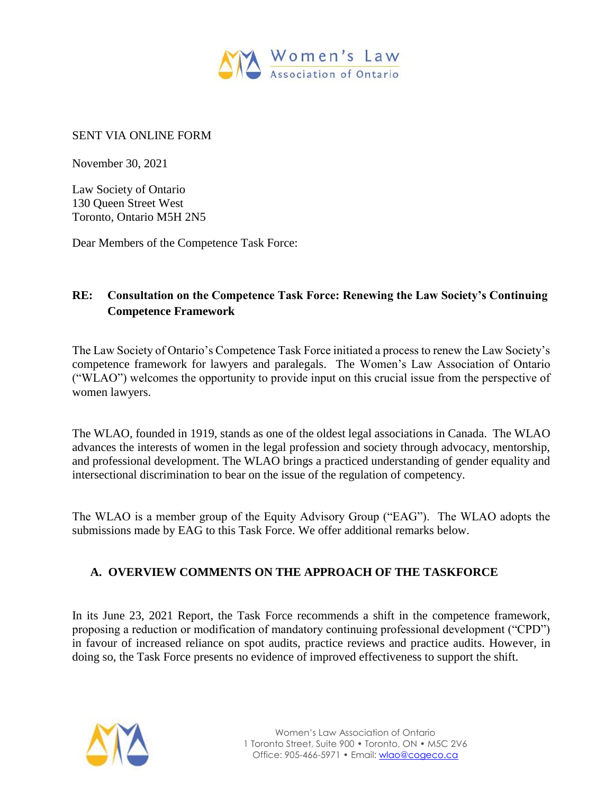

#### SENT VIA ONLINE FORM

November 30, 2021

Law Society of Ontario 130 Queen Street West Toronto, Ontario M5H 2N5

Dear Members of the Competence Task Force:

## **RE: Consultation on the Competence Task Force: Renewing the Law Society's Continuing Competence Framework**

The Law Society of Ontario's Competence Task Force initiated a process to renew the Law Society's competence framework for lawyers and paralegals. The Women's Law Association of Ontario ("WLAO") welcomes the opportunity to provide input on this crucial issue from the perspective of women lawyers.

The WLAO, founded in 1919, stands as one of the oldest legal associations in Canada. The WLAO advances the interests of women in the legal profession and society through advocacy, mentorship, and professional development. The WLAO brings a practiced understanding of gender equality and intersectional discrimination to bear on the issue of the regulation of competency.

The WLAO is a member group of the Equity Advisory Group ("EAG"). The WLAO adopts the submissions made by EAG to this Task Force. We offer additional remarks below.

## **A. OVERVIEW COMMENTS ON THE APPROACH OF THE TASKFORCE**

In its June 23, 2021 Report, the Task Force recommends a shift in the competence framework, proposing a reduction or modification of mandatory continuing professional development ("CPD") in favour of increased reliance on spot audits, practice reviews and practice audits. However, in doing so, the Task Force presents no evidence of improved effectiveness to support the shift.

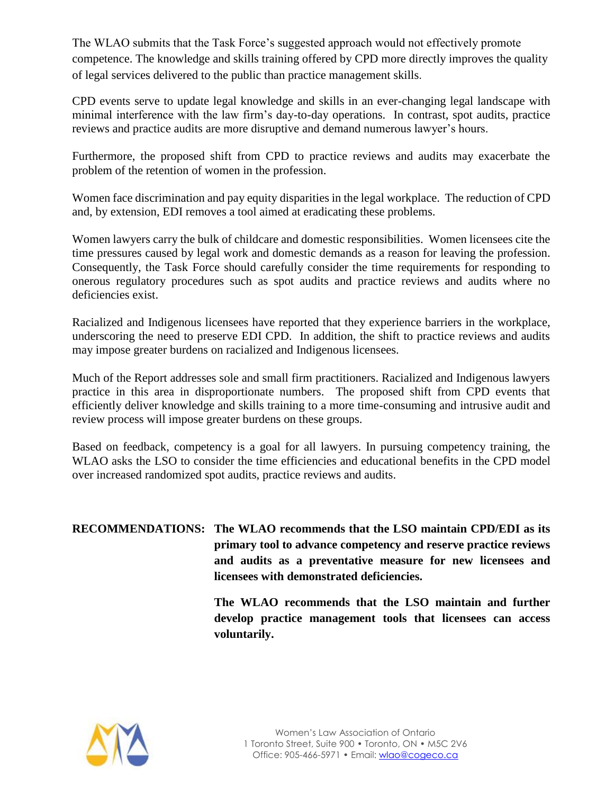The WLAO submits that the Task Force's suggested approach would not effectively promote competence. The knowledge and skills training offered by CPD more directly improves the quality of legal services delivered to the public than practice management skills.

CPD events serve to update legal knowledge and skills in an ever-changing legal landscape with minimal interference with the law firm's day-to-day operations. In contrast, spot audits, practice reviews and practice audits are more disruptive and demand numerous lawyer's hours.

Furthermore, the proposed shift from CPD to practice reviews and audits may exacerbate the problem of the retention of women in the profession.

Women face discrimination and pay equity disparities in the legal workplace. The reduction of CPD and, by extension, EDI removes a tool aimed at eradicating these problems.

Women lawyers carry the bulk of childcare and domestic responsibilities. Women licensees cite the time pressures caused by legal work and domestic demands as a reason for leaving the profession. Consequently, the Task Force should carefully consider the time requirements for responding to onerous regulatory procedures such as spot audits and practice reviews and audits where no deficiencies exist.

Racialized and Indigenous licensees have reported that they experience barriers in the workplace, underscoring the need to preserve EDI CPD. In addition, the shift to practice reviews and audits may impose greater burdens on racialized and Indigenous licensees.

Much of the Report addresses sole and small firm practitioners. Racialized and Indigenous lawyers practice in this area in disproportionate numbers. The proposed shift from CPD events that efficiently deliver knowledge and skills training to a more time-consuming and intrusive audit and review process will impose greater burdens on these groups.

Based on feedback, competency is a goal for all lawyers. In pursuing competency training, the WLAO asks the LSO to consider the time efficiencies and educational benefits in the CPD model over increased randomized spot audits, practice reviews and audits.

**RECOMMENDATIONS: The WLAO recommends that the LSO maintain CPD/EDI as its primary tool to advance competency and reserve practice reviews and audits as a preventative measure for new licensees and licensees with demonstrated deficiencies.**

> **The WLAO recommends that the LSO maintain and further develop practice management tools that licensees can access voluntarily.**

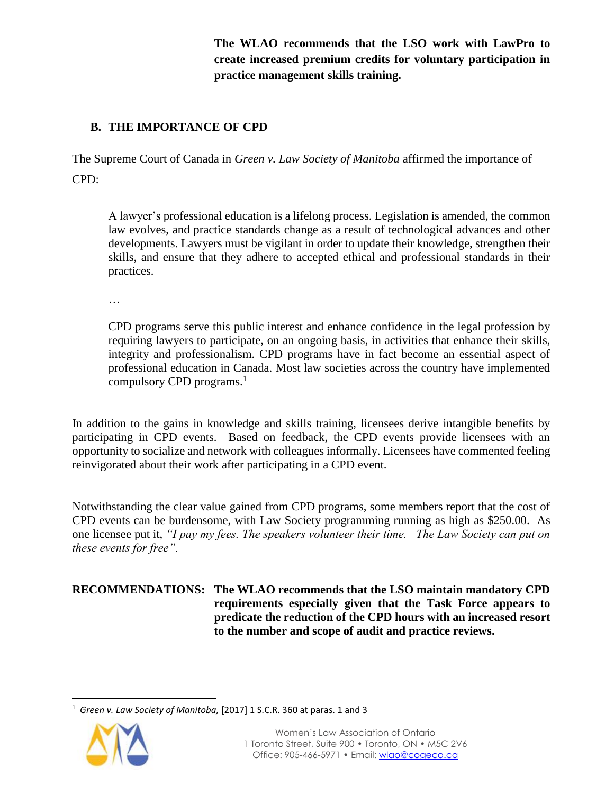**The WLAO recommends that the LSO work with LawPro to create increased premium credits for voluntary participation in practice management skills training.** 

## **B. THE IMPORTANCE OF CPD**

The Supreme Court of Canada in *Green v. Law Society of Manitoba* affirmed the importance of CPD:

A lawyer's professional education is a lifelong process. Legislation is amended, the common law evolves, and practice standards change as a result of technological advances and other developments. Lawyers must be vigilant in order to update their knowledge, strengthen their skills, and ensure that they adhere to accepted ethical and professional standards in their practices.

…

CPD programs serve this public interest and enhance confidence in the legal profession by requiring lawyers to participate, on an ongoing basis, in activities that enhance their skills, integrity and professionalism. CPD programs have in fact become an essential aspect of professional education in Canada. Most law societies across the country have implemented compulsory CPD programs.<sup>1</sup>

In addition to the gains in knowledge and skills training, licensees derive intangible benefits by participating in CPD events. Based on feedback, the CPD events provide licensees with an opportunity to socialize and network with colleagues informally. Licensees have commented feeling reinvigorated about their work after participating in a CPD event.

Notwithstanding the clear value gained from CPD programs, some members report that the cost of CPD events can be burdensome, with Law Society programming running as high as \$250.00. As one licensee put it, *"I pay my fees. The speakers volunteer their time. The Law Society can put on these events for free".*

**RECOMMENDATIONS: The WLAO recommends that the LSO maintain mandatory CPD requirements especially given that the Task Force appears to predicate the reduction of the CPD hours with an increased resort to the number and scope of audit and practice reviews.** 

 $\overline{a}$ <sup>1</sup> *Green v. Law Society of Manitoba,* [2017] 1 S.C.R. 360 at paras. 1 and 3

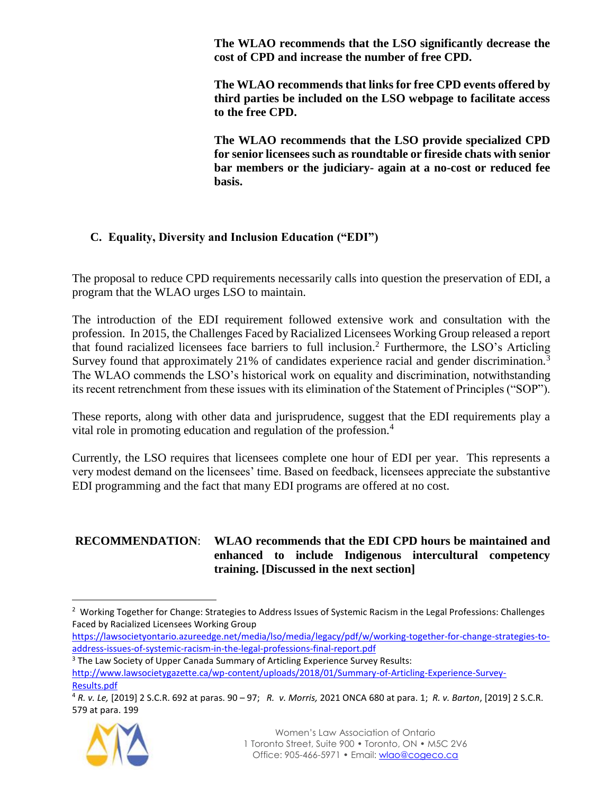**The WLAO recommends that the LSO significantly decrease the cost of CPD and increase the number of free CPD.**

**The WLAO recommends that links for free CPD events offered by third parties be included on the LSO webpage to facilitate access to the free CPD.**

**The WLAO recommends that the LSO provide specialized CPD for senior licensees such as roundtable or fireside chats with senior bar members or the judiciary- again at a no-cost or reduced fee basis.** 

## **C. Equality, Diversity and Inclusion Education ("EDI")**

The proposal to reduce CPD requirements necessarily calls into question the preservation of EDI, a program that the WLAO urges LSO to maintain.

The introduction of the EDI requirement followed extensive work and consultation with the profession. In 2015, the Challenges Faced by Racialized Licensees Working Group released a report that found racialized licensees face barriers to full inclusion.<sup>2</sup> Furthermore, the LSO's Articling Survey found that approximately 21% of candidates experience racial and gender discrimination.<sup>3</sup> The WLAO commends the LSO's historical work on equality and discrimination, notwithstanding its recent retrenchment from these issues with its elimination of the Statement of Principles ("SOP").

These reports, along with other data and jurisprudence, suggest that the EDI requirements play a vital role in promoting education and regulation of the profession.<sup>4</sup>

Currently, the LSO requires that licensees complete one hour of EDI per year. This represents a very modest demand on the licensees' time. Based on feedback, licensees appreciate the substantive EDI programming and the fact that many EDI programs are offered at no cost.

#### **RECOMMENDATION**: **WLAO recommends that the EDI CPD hours be maintained and enhanced to include Indigenous intercultural competency training. [Discussed in the next section]**

[https://lawsocietyontario.azureedge.net/media/lso/media/legacy/pdf/w/working-together-for-change-strategies-to](https://lawsocietyontario.azureedge.net/media/lso/media/legacy/pdf/w/working-together-for-change-strategies-to-address-issues-of-systemic-racism-in-the-legal-professions-final-report.pdf)[address-issues-of-systemic-racism-in-the-legal-professions-final-report.pdf](https://lawsocietyontario.azureedge.net/media/lso/media/legacy/pdf/w/working-together-for-change-strategies-to-address-issues-of-systemic-racism-in-the-legal-professions-final-report.pdf)

 $\overline{a}$ 

<sup>4</sup> *R. v. Le,* [2019] 2 S.C.R. 692 at paras. 90 – 97; *R. v. Morris,* 2021 ONCA 680 at para. 1; *R. v. Barton*, [2019] 2 S.C.R. 579 at para. 199



<sup>&</sup>lt;sup>2</sup> Working Together for Change: Strategies to Address Issues of Systemic Racism in the Legal Professions: Challenges Faced by Racialized Licensees Working Group

<sup>&</sup>lt;sup>3</sup> The Law Society of Upper Canada Summary of Articling Experience Survey Results: [http://www.lawsocietygazette.ca/wp-content/uploads/2018/01/Summary-of-Articling-Experience-Survey-](http://www.lawsocietygazette.ca/wp-content/uploads/2018/01/Summary-of-Articling-Experience-Survey-Results.pdf)

[Results.pdf](http://www.lawsocietygazette.ca/wp-content/uploads/2018/01/Summary-of-Articling-Experience-Survey-Results.pdf)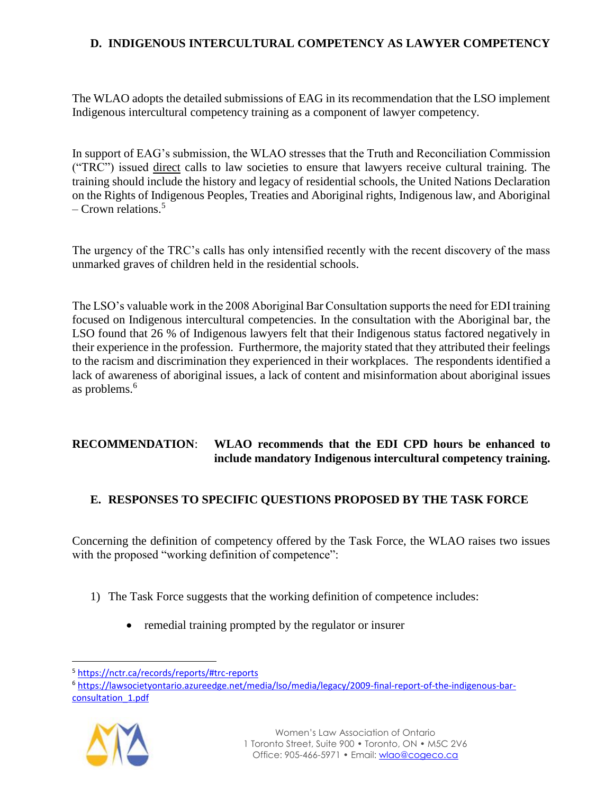## **D. INDIGENOUS INTERCULTURAL COMPETENCY AS LAWYER COMPETENCY**

The WLAO adopts the detailed submissions of EAG in its recommendation that the LSO implement Indigenous intercultural competency training as a component of lawyer competency.

In support of EAG's submission, the WLAO stresses that the Truth and Reconciliation Commission ("TRC") issued direct calls to law societies to ensure that lawyers receive cultural training. The training should include the history and legacy of residential schools, the United Nations Declaration on the Rights of Indigenous Peoples, Treaties and Aboriginal rights, Indigenous law, and Aboriginal – Crown relations.<sup>5</sup>

The urgency of the TRC's calls has only intensified recently with the recent discovery of the mass unmarked graves of children held in the residential schools.

The LSO's valuable work in the 2008 Aboriginal Bar Consultation supports the need for EDI training focused on Indigenous intercultural competencies. In the consultation with the Aboriginal bar, the LSO found that 26 % of Indigenous lawyers felt that their Indigenous status factored negatively in their experience in the profession. Furthermore, the majority stated that they attributed their feelings to the racism and discrimination they experienced in their workplaces. The respondents identified a lack of awareness of aboriginal issues, a lack of content and misinformation about aboriginal issues as problems.<sup>6</sup>

#### **RECOMMENDATION**: **WLAO recommends that the EDI CPD hours be enhanced to include mandatory Indigenous intercultural competency training.**

## **E. RESPONSES TO SPECIFIC QUESTIONS PROPOSED BY THE TASK FORCE**

Concerning the definition of competency offered by the Task Force, the WLAO raises two issues with the proposed "working definition of competence":

- 1) The Task Force suggests that the working definition of competence includes:
	- remedial training prompted by the regulator or insurer

<sup>6</sup> [https://lawsocietyontario.azureedge.net/media/lso/media/legacy/2009-final-report-of-the-indigenous-bar](https://lawsocietyontario.azureedge.net/media/lso/media/legacy/2009-final-report-of-the-indigenous-bar-consultation_1.pdf)[consultation\\_1.pdf](https://lawsocietyontario.azureedge.net/media/lso/media/legacy/2009-final-report-of-the-indigenous-bar-consultation_1.pdf)



 $\ddot{\phantom{a}}$ 

<sup>5</sup> <https://nctr.ca/records/reports/#trc-reports>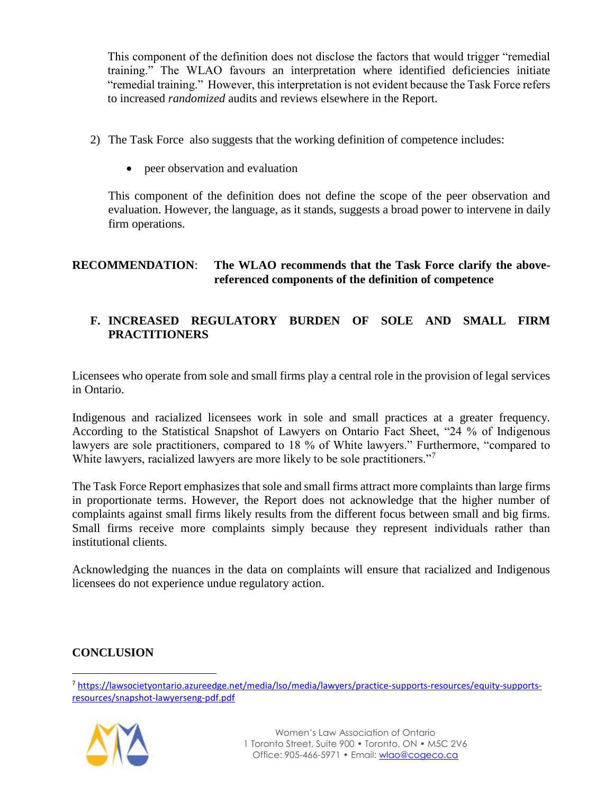This component of the definition does not disclose the factors that would trigger "remedial training." The WLAO favours an interpretation where identified deficiencies initiate "remedial training." However, this interpretation is not evident because the Task Force refers to increased *randomized* audits and reviews elsewhere in the Report.

- 2) The Task Force also suggests that the working definition of competence includes:
	- peer observation and evaluation

This component of the definition does not define the scope of the peer observation and evaluation. However, the language, as it stands, suggests a broad power to intervene in daily firm operations.

## **RECOMMENDATION**: **The WLAO recommends that the Task Force clarify the abovereferenced components of the definition of competence**

## **F. INCREASED REGULATORY BURDEN OF SOLE AND SMALL FIRM PRACTITIONERS**

Licensees who operate from sole and small firms play a central role in the provision of legal services in Ontario.

Indigenous and racialized licensees work in sole and small practices at a greater frequency. According to the Statistical Snapshot of Lawyers on Ontario Fact Sheet, "24 % of Indigenous lawyers are sole practitioners, compared to 18 % of White lawyers." Furthermore, "compared to White lawyers, racialized lawyers are more likely to be sole practitioners."<sup>7</sup>

The Task Force Report emphasizes that sole and small firms attract more complaints than large firms in proportionate terms. However, the Report does not acknowledge that the higher number of complaints against small firms likely results from the different focus between small and big firms. Small firms receive more complaints simply because they represent individuals rather than institutional clients.

Acknowledging the nuances in the data on complaints will ensure that racialized and Indigenous licensees do not experience undue regulatory action.

# **CONCLUSION**

 $\overline{a}$ 

<sup>7</sup> [https://lawsocietyontario.azureedge.net/media/lso/media/lawyers/practice-supports-resources/equity-supports](https://lawsocietyontario.azureedge.net/media/lso/media/lawyers/practice-supports-resources/equity-supports-resources/snapshot-lawyerseng-pdf.pdf)[resources/snapshot-lawyerseng-pdf.pdf](https://lawsocietyontario.azureedge.net/media/lso/media/lawyers/practice-supports-resources/equity-supports-resources/snapshot-lawyerseng-pdf.pdf)